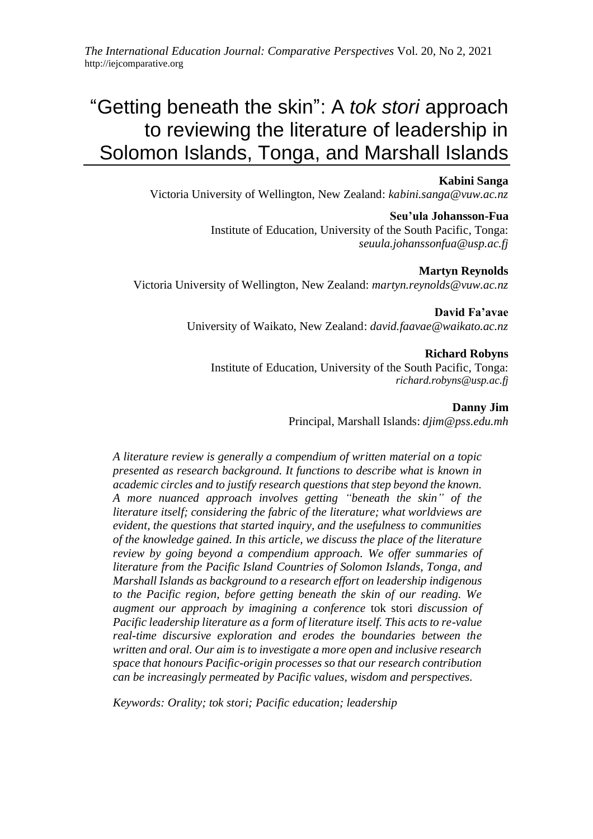## **Kabini Sanga**

Victoria University of Wellington, New Zealand: *kabini.sanga@vuw.ac.nz*

## **Seu'ula Johansson-Fua**

Institute of Education, University of the South Pacific, Tonga: *seuula.johanssonfua@usp.ac.fj*

# **Martyn Reynolds**

Victoria University of Wellington, New Zealand: *martyn.reynolds@vuw.ac.nz*

**David Fa'avae** University of Waikato, New Zealand: *david.faavae@waikato.ac.nz*

## **Richard Robyns**

Institute of Education, University of the South Pacific, Tonga: *richard.robyns@usp.ac.fj*

> **Danny Jim** Principal, Marshall Islands: *djim@pss.edu.mh*

*A literature review is generally a compendium of written material on a topic presented as research background. It functions to describe what is known in academic circles and to justify research questions that step beyond the known. A more nuanced approach involves getting "beneath the skin" of the literature itself; considering the fabric of the literature; what worldviews are evident, the questions that started inquiry, and the usefulness to communities of the knowledge gained. In this article, we discuss the place of the literature review by going beyond a compendium approach. We offer summaries of literature from the Pacific Island Countries of Solomon Islands, Tonga, and Marshall Islands as background to a research effort on leadership indigenous to the Pacific region, before getting beneath the skin of our reading. We augment our approach by imagining a conference* tok stori *discussion of Pacific leadership literature as a form of literature itself. This acts to re-value real-time discursive exploration and erodes the boundaries between the written and oral. Our aim is to investigate a more open and inclusive research space that honours Pacific-origin processes so that our research contribution can be increasingly permeated by Pacific values, wisdom and perspectives.*

*Keywords: Orality; tok stori; Pacific education; leadership*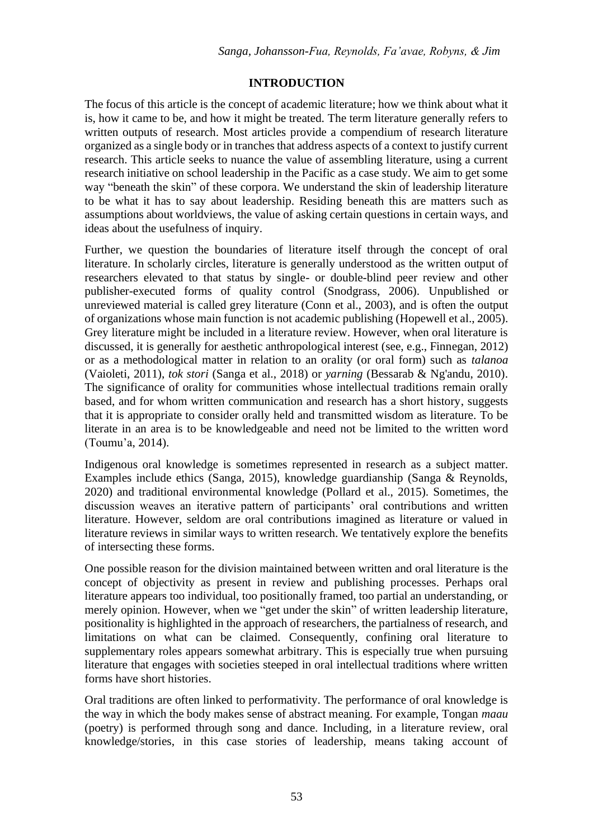## **INTRODUCTION**

The focus of this article is the concept of academic literature; how we think about what it is, how it came to be, and how it might be treated. The term literature generally refers to written outputs of research. Most articles provide a compendium of research literature organized as a single body or in tranches that address aspects of a context to justify current research. This article seeks to nuance the value of assembling literature, using a current research initiative on school leadership in the Pacific as a case study. We aim to get some way "beneath the skin" of these corpora. We understand the skin of leadership literature to be what it has to say about leadership. Residing beneath this are matters such as assumptions about worldviews, the value of asking certain questions in certain ways, and ideas about the usefulness of inquiry.

Further, we question the boundaries of literature itself through the concept of oral literature. In scholarly circles, literature is generally understood as the written output of researchers elevated to that status by single- or double-blind peer review and other publisher-executed forms of quality control (Snodgrass, 2006). Unpublished or unreviewed material is called grey literature (Conn et al., 2003), and is often the output of organizations whose main function is not academic publishing (Hopewell et al., 2005). Grey literature might be included in a literature review. However, when oral literature is discussed, it is generally for aesthetic anthropological interest (see, e.g., Finnegan, 2012) or as a methodological matter in relation to an orality (or oral form) such as *talanoa* (Vaioleti, 2011), *tok stori* (Sanga et al., 2018) or *yarning* (Bessarab & Ng'andu, 2010). The significance of orality for communities whose intellectual traditions remain orally based, and for whom written communication and research has a short history, suggests that it is appropriate to consider orally held and transmitted wisdom as literature. To be literate in an area is to be knowledgeable and need not be limited to the written word (Toumu'a, 2014).

Indigenous oral knowledge is sometimes represented in research as a subject matter. Examples include ethics (Sanga, 2015), knowledge guardianship (Sanga & Reynolds, 2020) and traditional environmental knowledge (Pollard et al., 2015). Sometimes, the discussion weaves an iterative pattern of participants' oral contributions and written literature. However, seldom are oral contributions imagined as literature or valued in literature reviews in similar ways to written research. We tentatively explore the benefits of intersecting these forms.

One possible reason for the division maintained between written and oral literature is the concept of objectivity as present in review and publishing processes. Perhaps oral literature appears too individual, too positionally framed, too partial an understanding, or merely opinion. However, when we "get under the skin" of written leadership literature, positionality is highlighted in the approach of researchers, the partialness of research, and limitations on what can be claimed. Consequently, confining oral literature to supplementary roles appears somewhat arbitrary. This is especially true when pursuing literature that engages with societies steeped in oral intellectual traditions where written forms have short histories.

Oral traditions are often linked to performativity. The performance of oral knowledge is the way in which the body makes sense of abstract meaning. For example, Tongan *maau* (poetry) is performed through song and dance. Including, in a literature review, oral knowledge/stories, in this case stories of leadership, means taking account of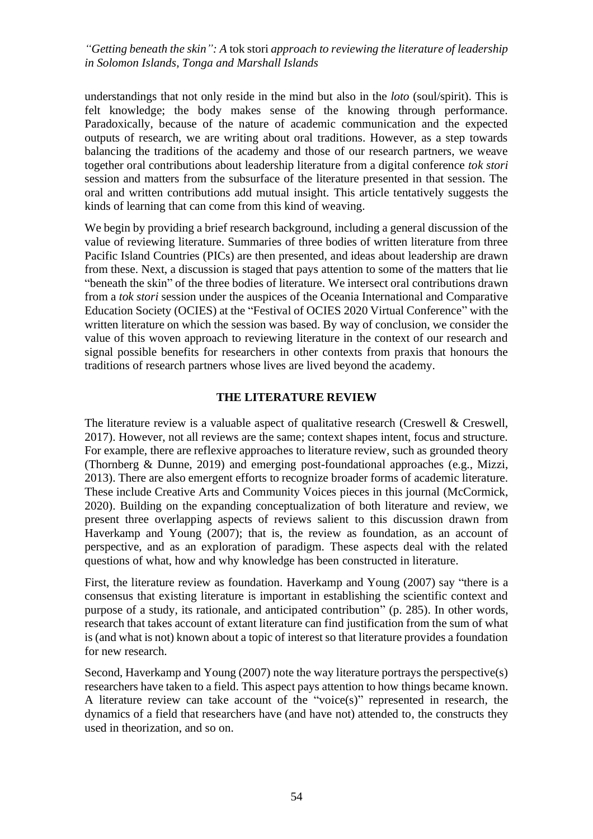understandings that not only reside in the mind but also in the *loto* (soul/spirit). This is felt knowledge; the body makes sense of the knowing through performance. Paradoxically, because of the nature of academic communication and the expected outputs of research, we are writing about oral traditions. However, as a step towards balancing the traditions of the academy and those of our research partners, we weave together oral contributions about leadership literature from a digital conference *tok stori* session and matters from the subsurface of the literature presented in that session. The oral and written contributions add mutual insight. This article tentatively suggests the kinds of learning that can come from this kind of weaving.

We begin by providing a brief research background, including a general discussion of the value of reviewing literature. Summaries of three bodies of written literature from three Pacific Island Countries (PICs) are then presented, and ideas about leadership are drawn from these. Next, a discussion is staged that pays attention to some of the matters that lie "beneath the skin" of the three bodies of literature. We intersect oral contributions drawn from a *tok stori* session under the auspices of the Oceania International and Comparative Education Society (OCIES) at the "Festival of OCIES 2020 Virtual Conference" with the written literature on which the session was based. By way of conclusion, we consider the value of this woven approach to reviewing literature in the context of our research and signal possible benefits for researchers in other contexts from praxis that honours the traditions of research partners whose lives are lived beyond the academy.

## **THE LITERATURE REVIEW**

The literature review is a valuable aspect of qualitative research (Creswell & Creswell, 2017). However, not all reviews are the same; context shapes intent, focus and structure. For example, there are reflexive approaches to literature review, such as grounded theory (Thornberg & Dunne, 2019) and emerging post-foundational approaches (e.g., Mizzi, 2013). There are also emergent efforts to recognize broader forms of academic literature. These include Creative Arts and Community Voices pieces in this journal (McCormick, 2020). Building on the expanding conceptualization of both literature and review, we present three overlapping aspects of reviews salient to this discussion drawn from Haverkamp and Young (2007); that is, the review as foundation, as an account of perspective, and as an exploration of paradigm. These aspects deal with the related questions of what, how and why knowledge has been constructed in literature.

First, the literature review as foundation. Haverkamp and Young (2007) say "there is a consensus that existing literature is important in establishing the scientific context and purpose of a study, its rationale, and anticipated contribution" (p. 285). In other words, research that takes account of extant literature can find justification from the sum of what is (and what is not) known about a topic of interest so that literature provides a foundation for new research.

Second, Haverkamp and Young (2007) note the way literature portrays the perspective(s) researchers have taken to a field. This aspect pays attention to how things became known. A literature review can take account of the "voice(s)" represented in research, the dynamics of a field that researchers have (and have not) attended to, the constructs they used in theorization, and so on.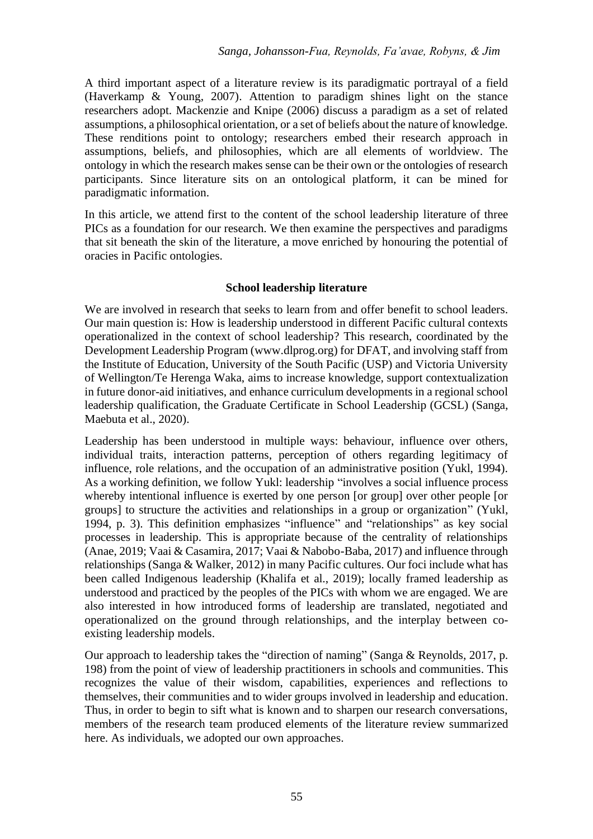A third important aspect of a literature review is its paradigmatic portrayal of a field (Haverkamp & Young, 2007). Attention to paradigm shines light on the stance researchers adopt. Mackenzie and Knipe (2006) discuss a paradigm as a set of related assumptions, a philosophical orientation, or a set of beliefs about the nature of knowledge. These renditions point to ontology; researchers embed their research approach in assumptions, beliefs, and philosophies, which are all elements of worldview. The ontology in which the research makes sense can be their own or the ontologies of research participants. Since literature sits on an ontological platform, it can be mined for paradigmatic information.

In this article, we attend first to the content of the school leadership literature of three PICs as a foundation for our research. We then examine the perspectives and paradigms that sit beneath the skin of the literature, a move enriched by honouring the potential of oracies in Pacific ontologies.

## **School leadership literature**

We are involved in research that seeks to learn from and offer benefit to school leaders. Our main question is: How is leadership understood in different Pacific cultural contexts operationalized in the context of school leadership? This research, coordinated by the Development Leadership Program (www.dlprog.org) for DFAT, and involving staff from the Institute of Education, University of the South Pacific (USP) and Victoria University of Wellington/Te Herenga Waka, aims to increase knowledge, support contextualization in future donor-aid initiatives, and enhance curriculum developments in a regional school leadership qualification, the Graduate Certificate in School Leadership (GCSL) (Sanga, Maebuta et al., 2020).

Leadership has been understood in multiple ways: behaviour, influence over others, individual traits, interaction patterns, perception of others regarding legitimacy of influence, role relations, and the occupation of an administrative position (Yukl, 1994). As a working definition, we follow Yukl: leadership "involves a social influence process whereby intentional influence is exerted by one person [or group] over other people [or groups] to structure the activities and relationships in a group or organization" (Yukl, 1994, p. 3). This definition emphasizes "influence" and "relationships" as key social processes in leadership. This is appropriate because of the centrality of relationships (Anae, 2019; Vaai & Casamira, 2017; Vaai & Nabobo-Baba, 2017) and influence through relationships (Sanga & Walker, 2012) in many Pacific cultures. Our foci include what has been called Indigenous leadership (Khalifa et al., 2019); locally framed leadership as understood and practiced by the peoples of the PICs with whom we are engaged. We are also interested in how introduced forms of leadership are translated, negotiated and operationalized on the ground through relationships, and the interplay between coexisting leadership models.

Our approach to leadership takes the "direction of naming" (Sanga & Reynolds, 2017, p. 198) from the point of view of leadership practitioners in schools and communities. This recognizes the value of their wisdom, capabilities, experiences and reflections to themselves, their communities and to wider groups involved in leadership and education. Thus, in order to begin to sift what is known and to sharpen our research conversations, members of the research team produced elements of the literature review summarized here. As individuals, we adopted our own approaches.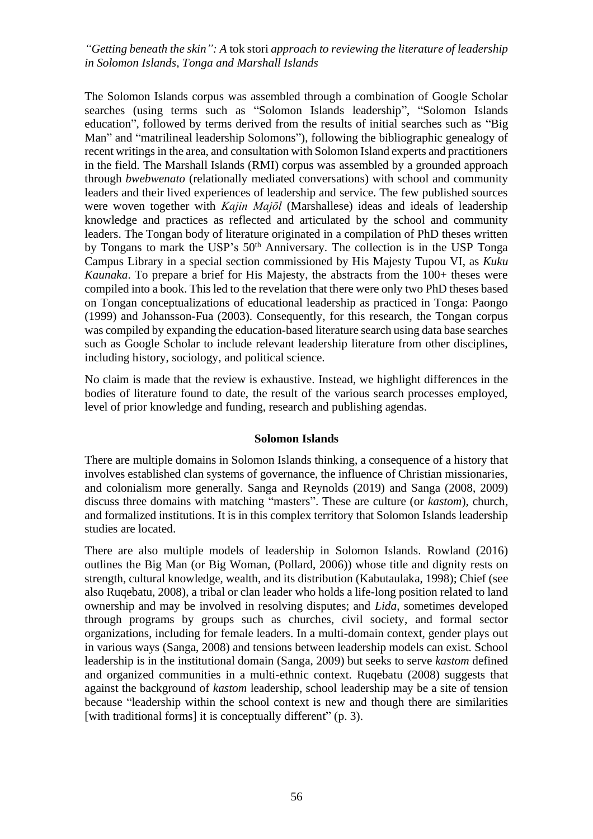The Solomon Islands corpus was assembled through a combination of Google Scholar searches (using terms such as "Solomon Islands leadership", "Solomon Islands education", followed by terms derived from the results of initial searches such as "Big Man" and "matrilineal leadership Solomons"), following the bibliographic genealogy of recent writings in the area, and consultation with Solomon Island experts and practitioners in the field. The Marshall Islands (RMI) corpus was assembled by a grounded approach through *bwebwenato* (relationally mediated conversations) with school and community leaders and their lived experiences of leadership and service. The few published sources were woven together with *Kajin Majōl* (Marshallese) ideas and ideals of leadership knowledge and practices as reflected and articulated by the school and community leaders. The Tongan body of literature originated in a compilation of PhD theses written by Tongans to mark the USP's 50<sup>th</sup> Anniversary. The collection is in the USP Tonga Campus Library in a special section commissioned by His Majesty Tupou VI, as *Kuku Kaunaka*. To prepare a brief for His Majesty, the abstracts from the 100+ theses were compiled into a book. This led to the revelation that there were only two PhD theses based on Tongan conceptualizations of educational leadership as practiced in Tonga: Paongo (1999) and Johansson-Fua (2003). Consequently, for this research, the Tongan corpus was compiled by expanding the education-based literature search using data base searches such as Google Scholar to include relevant leadership literature from other disciplines, including history, sociology, and political science.

No claim is made that the review is exhaustive. Instead, we highlight differences in the bodies of literature found to date, the result of the various search processes employed, level of prior knowledge and funding, research and publishing agendas.

## **Solomon Islands**

There are multiple domains in Solomon Islands thinking, a consequence of a history that involves established clan systems of governance, the influence of Christian missionaries, and colonialism more generally. Sanga and Reynolds (2019) and Sanga (2008, 2009) discuss three domains with matching "masters". These are culture (or *kastom*), church, and formalized institutions. It is in this complex territory that Solomon Islands leadership studies are located.

There are also multiple models of leadership in Solomon Islands. Rowland (2016) outlines the Big Man (or Big Woman, (Pollard, 2006)) whose title and dignity rests on strength, cultural knowledge, wealth, and its distribution (Kabutaulaka, 1998); Chief (see also Ruqebatu, 2008), a tribal or clan leader who holds a life-long position related to land ownership and may be involved in resolving disputes; and *Lida*, sometimes developed through programs by groups such as churches, civil society, and formal sector organizations, including for female leaders. In a multi-domain context, gender plays out in various ways (Sanga, 2008) and tensions between leadership models can exist. School leadership is in the institutional domain (Sanga, 2009) but seeks to serve *kastom* defined and organized communities in a multi-ethnic context. Ruqebatu (2008) suggests that against the background of *kastom* leadership, school leadership may be a site of tension because "leadership within the school context is new and though there are similarities [with traditional forms] it is conceptually different" (p. 3).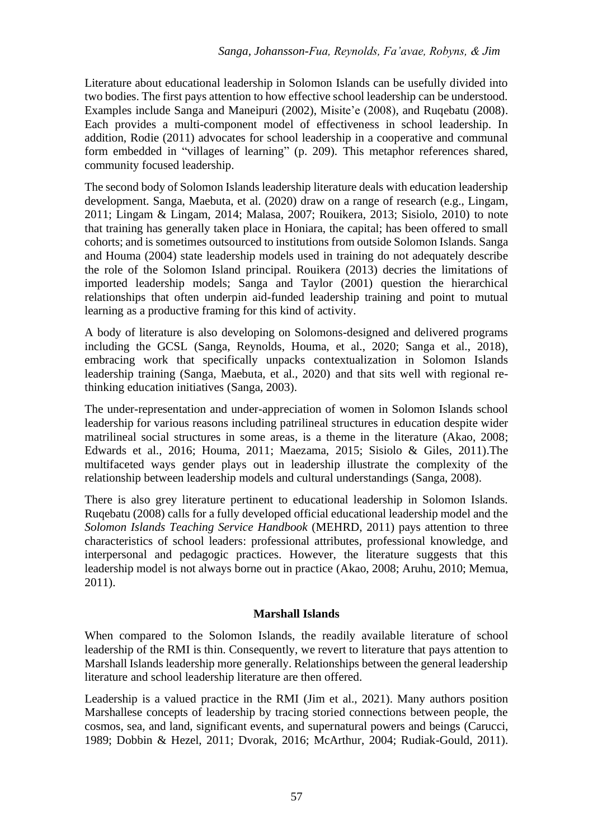Literature about educational leadership in Solomon Islands can be usefully divided into two bodies. The first pays attention to how effective school leadership can be understood. Examples include Sanga and Maneipuri (2002), Misite'e (2008), and Ruqebatu (2008). Each provides a multi-component model of effectiveness in school leadership. In addition, Rodie (2011) advocates for school leadership in a cooperative and communal form embedded in "villages of learning" (p. 209). This metaphor references shared, community focused leadership.

The second body of Solomon Islands leadership literature deals with education leadership development. Sanga, Maebuta, et al. (2020) draw on a range of research (e.g., Lingam, 2011; Lingam & Lingam, 2014; Malasa, 2007; Rouikera, 2013; Sisiolo, 2010) to note that training has generally taken place in Honiara, the capital; has been offered to small cohorts; and is sometimes outsourced to institutions from outside Solomon Islands. Sanga and Houma (2004) state leadership models used in training do not adequately describe the role of the Solomon Island principal. Rouikera (2013) decries the limitations of imported leadership models; Sanga and Taylor (2001) question the hierarchical relationships that often underpin aid-funded leadership training and point to mutual learning as a productive framing for this kind of activity.

A body of literature is also developing on Solomons-designed and delivered programs including the GCSL (Sanga, Reynolds, Houma, et al., 2020; Sanga et al., 2018), embracing work that specifically unpacks contextualization in Solomon Islands leadership training (Sanga, Maebuta, et al., 2020) and that sits well with regional rethinking education initiatives (Sanga, 2003).

The under-representation and under-appreciation of women in Solomon Islands school leadership for various reasons including patrilineal structures in education despite wider matrilineal social structures in some areas, is a theme in the literature (Akao, 2008; Edwards et al., 2016; Houma, 2011; Maezama, 2015; Sisiolo & Giles, 2011).The multifaceted ways gender plays out in leadership illustrate the complexity of the relationship between leadership models and cultural understandings (Sanga, 2008).

There is also grey literature pertinent to educational leadership in Solomon Islands. Ruqebatu (2008) calls for a fully developed official educational leadership model and the *Solomon Islands Teaching Service Handbook* (MEHRD, 2011) pays attention to three characteristics of school leaders: professional attributes, professional knowledge, and interpersonal and pedagogic practices. However, the literature suggests that this leadership model is not always borne out in practice (Akao, 2008; Aruhu, 2010; Memua, 2011).

# **Marshall Islands**

When compared to the Solomon Islands, the readily available literature of school leadership of the RMI is thin. Consequently, we revert to literature that pays attention to Marshall Islands leadership more generally. Relationships between the general leadership literature and school leadership literature are then offered.

Leadership is a valued practice in the RMI (Jim et al., 2021). Many authors position Marshallese concepts of leadership by tracing storied connections between people, the cosmos, sea, and land, significant events, and supernatural powers and beings (Carucci, 1989; Dobbin & Hezel, 2011; Dvorak, 2016; McArthur, 2004; Rudiak-Gould, 2011).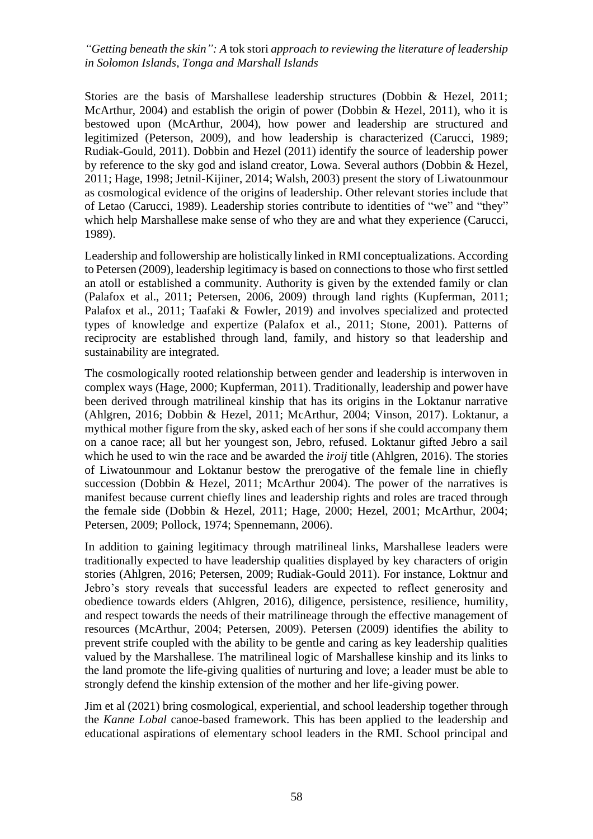Stories are the basis of Marshallese leadership structures (Dobbin & Hezel, 2011; McArthur, 2004) and establish the origin of power (Dobbin & Hezel, 2011), who it is bestowed upon (McArthur, 2004), how power and leadership are structured and legitimized (Peterson, 2009), and how leadership is characterized (Carucci, 1989; Rudiak-Gould, 2011). Dobbin and Hezel (2011) identify the source of leadership power by reference to the sky god and island creator, Lowa. Several authors (Dobbin & Hezel, 2011; Hage, 1998; Jetnil-Kijiner, 2014; Walsh, 2003) present the story of Liwatounmour as cosmological evidence of the origins of leadership. Other relevant stories include that of Letao (Carucci, 1989). Leadership stories contribute to identities of "we" and "they" which help Marshallese make sense of who they are and what they experience (Carucci, 1989).

Leadership and followership are holistically linked in RMI conceptualizations. According to Petersen (2009), leadership legitimacy is based on connections to those who first settled an atoll or established a community. Authority is given by the extended family or clan (Palafox et al., 2011; Petersen, 2006, 2009) through land rights (Kupferman, 2011; Palafox et al., 2011; Taafaki & Fowler, 2019) and involves specialized and protected types of knowledge and expertize (Palafox et al., 2011; Stone, 2001). Patterns of reciprocity are established through land, family, and history so that leadership and sustainability are integrated.

The cosmologically rooted relationship between gender and leadership is interwoven in complex ways (Hage, 2000; Kupferman, 2011). Traditionally, leadership and power have been derived through matrilineal kinship that has its origins in the Loktanur narrative (Ahlgren, 2016; Dobbin & Hezel, 2011; McArthur, 2004; Vinson, 2017). Loktanur, a mythical mother figure from the sky, asked each of her sons if she could accompany them on a canoe race; all but her youngest son, Jebro, refused. Loktanur gifted Jebro a sail which he used to win the race and be awarded the *iroij* title (Ahlgren, 2016). The stories of Liwatounmour and Loktanur bestow the prerogative of the female line in chiefly succession (Dobbin & Hezel, 2011; McArthur 2004). The power of the narratives is manifest because current chiefly lines and leadership rights and roles are traced through the female side (Dobbin & Hezel, 2011; Hage, 2000; Hezel, 2001; McArthur, 2004; Petersen, 2009; Pollock, 1974; Spennemann, 2006).

In addition to gaining legitimacy through matrilineal links, Marshallese leaders were traditionally expected to have leadership qualities displayed by key characters of origin stories (Ahlgren, 2016; Petersen, 2009; Rudiak-Gould 2011). For instance, Loktnur and Jebro's story reveals that successful leaders are expected to reflect generosity and obedience towards elders (Ahlgren, 2016), diligence, persistence, resilience, humility, and respect towards the needs of their matrilineage through the effective management of resources (McArthur, 2004; Petersen, 2009). Petersen (2009) identifies the ability to prevent strife coupled with the ability to be gentle and caring as key leadership qualities valued by the Marshallese. The matrilineal logic of Marshallese kinship and its links to the land promote the life-giving qualities of nurturing and love; a leader must be able to strongly defend the kinship extension of the mother and her life-giving power.

Jim et al (2021) bring cosmological, experiential, and school leadership together through the *Kanne Lobal* canoe-based framework. This has been applied to the leadership and educational aspirations of elementary school leaders in the RMI. School principal and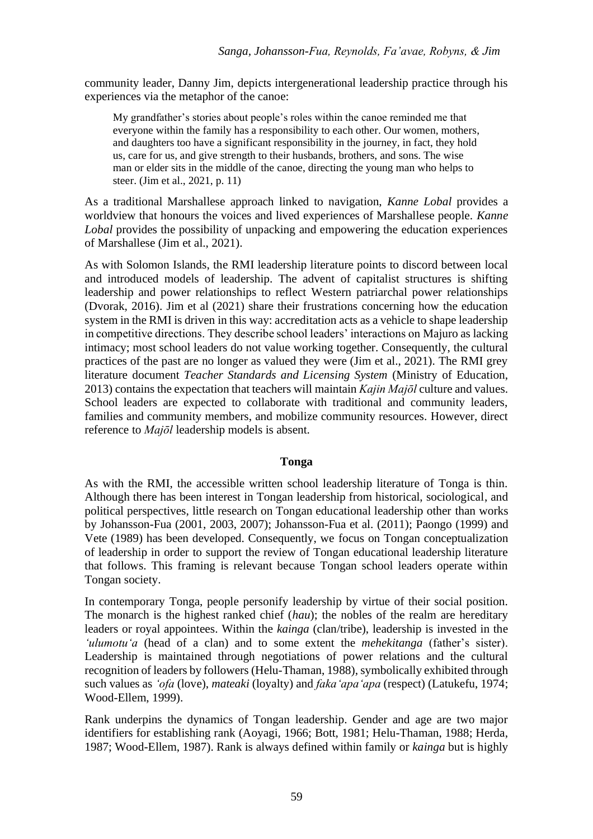community leader, Danny Jim, depicts intergenerational leadership practice through his experiences via the metaphor of the canoe:

My grandfather's stories about people's roles within the canoe reminded me that everyone within the family has a responsibility to each other. Our women, mothers, and daughters too have a significant responsibility in the journey, in fact, they hold us, care for us, and give strength to their husbands, brothers, and sons. The wise man or elder sits in the middle of the canoe, directing the young man who helps to steer. (Jim et al., 2021, p. 11)

As a traditional Marshallese approach linked to navigation, *Kanne Lobal* provides a worldview that honours the voices and lived experiences of Marshallese people. *Kanne Lobal* provides the possibility of unpacking and empowering the education experiences of Marshallese (Jim et al., 2021).

As with Solomon Islands, the RMI leadership literature points to discord between local and introduced models of leadership. The advent of capitalist structures is shifting leadership and power relationships to reflect Western patriarchal power relationships (Dvorak, 2016). Jim et al (2021) share their frustrations concerning how the education system in the RMI is driven in this way: accreditation acts as a vehicle to shape leadership in competitive directions. They describe school leaders' interactions on Majuro as lacking intimacy; most school leaders do not value working together. Consequently, the cultural practices of the past are no longer as valued they were (Jim et al., 2021). The RMI grey literature document *Teacher Standards and Licensing System* (Ministry of Education, 2013) contains the expectation that teachers will maintain *Kajin Majōl* culture and values. School leaders are expected to collaborate with traditional and community leaders, families and community members, and mobilize community resources. However, direct reference to *Majōl* leadership models is absent.

## **Tonga**

As with the RMI, the accessible written school leadership literature of Tonga is thin. Although there has been interest in Tongan leadership from historical, sociological, and political perspectives, little research on Tongan educational leadership other than works by Johansson-Fua (2001, 2003, 2007); Johansson-Fua et al. (2011); Paongo (1999) and Vete (1989) has been developed. Consequently, we focus on Tongan conceptualization of leadership in order to support the review of Tongan educational leadership literature that follows. This framing is relevant because Tongan school leaders operate within Tongan society.

In contemporary Tonga, people personify leadership by virtue of their social position. The monarch is the highest ranked chief (*hau*); the nobles of the realm are hereditary leaders or royal appointees. Within the *kainga* (clan/tribe), leadership is invested in the *'ulumotu'a* (head of a clan) and to some extent the *mehekitanga* (father's sister). Leadership is maintained through negotiations of power relations and the cultural recognition of leaders by followers (Helu-Thaman, 1988), symbolically exhibited through such values as *'ofa* (love), *mateaki* (loyalty) and *faka'apa'apa* (respect) (Latukefu, 1974; Wood-Ellem, 1999).

Rank underpins the dynamics of Tongan leadership. Gender and age are two major identifiers for establishing rank (Aoyagi, 1966; Bott, 1981; Helu-Thaman, 1988; Herda, 1987; Wood-Ellem, 1987). Rank is always defined within family or *kainga* but is highly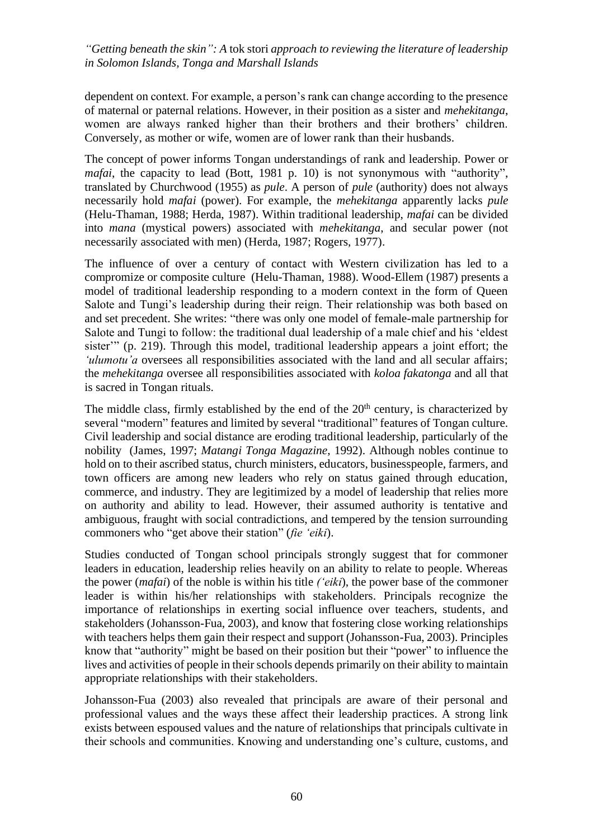dependent on context. For example, a person's rank can change according to the presence of maternal or paternal relations. However, in their position as a sister and *mehekitanga*, women are always ranked higher than their brothers and their brothers' children. Conversely, as mother or wife, women are of lower rank than their husbands.

The concept of power informs Tongan understandings of rank and leadership. Power or *mafai*, the capacity to lead (Bott, 1981 p. 10) is not synonymous with "authority". translated by Churchwood (1955) as *pule*. A person of *pule* (authority) does not always necessarily hold *mafai* (power). For example, the *mehekitanga* apparently lacks *pule* (Helu-Thaman, 1988; Herda, 1987). Within traditional leadership, *mafai* can be divided into *mana* (mystical powers) associated with *mehekitanga*, and secular power (not necessarily associated with men) (Herda, 1987; Rogers, 1977).

The influence of over a century of contact with Western civilization has led to a compromize or composite culture (Helu-Thaman, 1988). Wood-Ellem (1987) presents a model of traditional leadership responding to a modern context in the form of Queen Salote and Tungi's leadership during their reign. Their relationship was both based on and set precedent. She writes: "there was only one model of female-male partnership for Salote and Tungi to follow: the traditional dual leadership of a male chief and his 'eldest sister'" (p. 219). Through this model, traditional leadership appears a joint effort; the *'ulumotu'a* oversees all responsibilities associated with the land and all secular affairs; the *mehekitanga* oversee all responsibilities associated with *koloa fakatonga* and all that is sacred in Tongan rituals.

The middle class, firmly established by the end of the  $20<sup>th</sup>$  century, is characterized by several "modern" features and limited by several "traditional" features of Tongan culture. Civil leadership and social distance are eroding traditional leadership, particularly of the nobility (James, 1997; *Matangi Tonga Magazine*, 1992). Although nobles continue to hold on to their ascribed status, church ministers, educators, businesspeople, farmers, and town officers are among new leaders who rely on status gained through education, commerce, and industry. They are legitimized by a model of leadership that relies more on authority and ability to lead. However, their assumed authority is tentative and ambiguous, fraught with social contradictions, and tempered by the tension surrounding commoners who "get above their station" (*fie 'eiki*).

Studies conducted of Tongan school principals strongly suggest that for commoner leaders in education, leadership relies heavily on an ability to relate to people. Whereas the power (*mafai*) of the noble is within his title *('eiki*), the power base of the commoner leader is within his/her relationships with stakeholders. Principals recognize the importance of relationships in exerting social influence over teachers, students, and stakeholders (Johansson-Fua, 2003), and know that fostering close working relationships with teachers helps them gain their respect and support (Johansson-Fua, 2003). Principles know that "authority" might be based on their position but their "power" to influence the lives and activities of people in their schools depends primarily on their ability to maintain appropriate relationships with their stakeholders.

Johansson-Fua (2003) also revealed that principals are aware of their personal and professional values and the ways these affect their leadership practices. A strong link exists between espoused values and the nature of relationships that principals cultivate in their schools and communities. Knowing and understanding one's culture, customs, and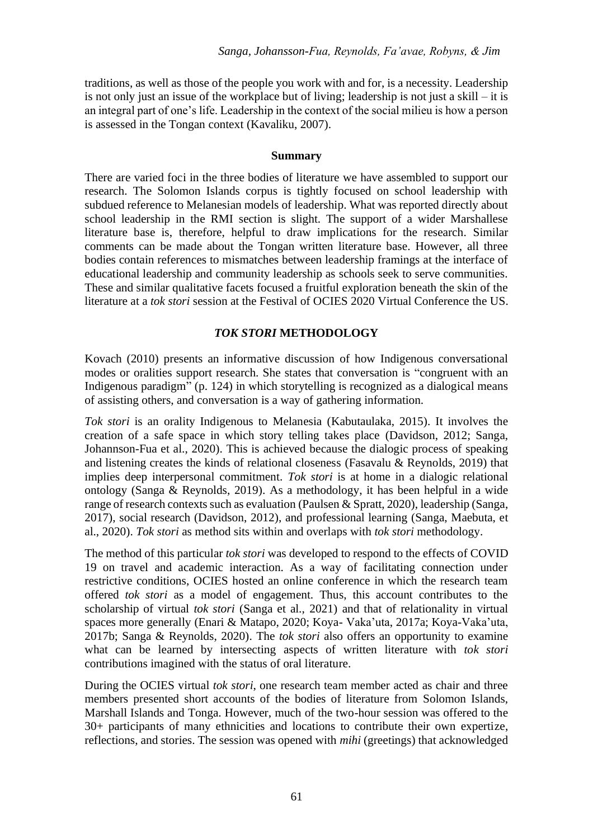traditions, as well as those of the people you work with and for, is a necessity. Leadership is not only just an issue of the workplace but of living; leadership is not just a skill – it is an integral part of one's life. Leadership in the context of the social milieu is how a person is assessed in the Tongan context (Kavaliku, 2007).

#### **Summary**

There are varied foci in the three bodies of literature we have assembled to support our research. The Solomon Islands corpus is tightly focused on school leadership with subdued reference to Melanesian models of leadership. What was reported directly about school leadership in the RMI section is slight. The support of a wider Marshallese literature base is, therefore, helpful to draw implications for the research. Similar comments can be made about the Tongan written literature base. However, all three bodies contain references to mismatches between leadership framings at the interface of educational leadership and community leadership as schools seek to serve communities. These and similar qualitative facets focused a fruitful exploration beneath the skin of the literature at a *tok stori* session at the Festival of OCIES 2020 Virtual Conference the US.

## *TOK STORI* **METHODOLOGY**

Kovach (2010) presents an informative discussion of how Indigenous conversational modes or oralities support research. She states that conversation is "congruent with an Indigenous paradigm" (p. 124) in which storytelling is recognized as a dialogical means of assisting others, and conversation is a way of gathering information.

*Tok stori* is an orality Indigenous to Melanesia (Kabutaulaka, 2015). It involves the creation of a safe space in which story telling takes place (Davidson, 2012; Sanga, Johannson-Fua et al., 2020). This is achieved because the dialogic process of speaking and listening creates the kinds of relational closeness (Fasavalu & Reynolds, 2019) that implies deep interpersonal commitment. *Tok stori* is at home in a dialogic relational ontology (Sanga & Reynolds, 2019). As a methodology, it has been helpful in a wide range of research contexts such as evaluation (Paulsen & Spratt, 2020), leadership (Sanga, 2017), social research (Davidson, 2012), and professional learning (Sanga, Maebuta, et al., 2020). *Tok stori* as method sits within and overlaps with *tok stori* methodology.

The method of this particular *tok stori* was developed to respond to the effects of COVID 19 on travel and academic interaction. As a way of facilitating connection under restrictive conditions, OCIES hosted an online conference in which the research team offered *tok stori* as a model of engagement. Thus, this account contributes to the scholarship of virtual *tok stori* (Sanga et al., 2021) and that of relationality in virtual spaces more generally (Enari & Matapo, 2020; Koya- Vaka'uta, 2017a; Koya-Vaka'uta, 2017b; Sanga & Reynolds, 2020). The *tok stori* also offers an opportunity to examine what can be learned by intersecting aspects of written literature with *tok stori* contributions imagined with the status of oral literature.

During the OCIES virtual *tok stori*, one research team member acted as chair and three members presented short accounts of the bodies of literature from Solomon Islands, Marshall Islands and Tonga. However, much of the two-hour session was offered to the 30+ participants of many ethnicities and locations to contribute their own expertize, reflections, and stories. The session was opened with *mihi* (greetings) that acknowledged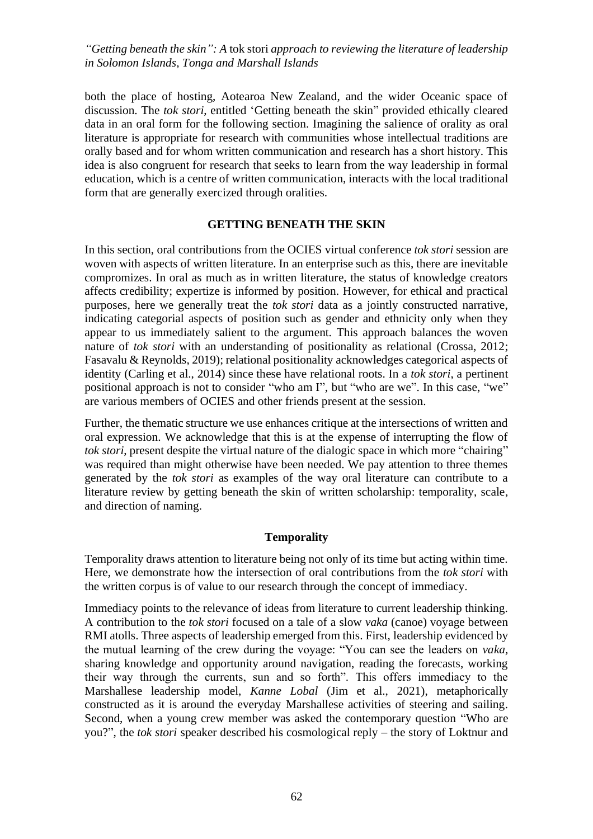both the place of hosting, Aotearoa New Zealand, and the wider Oceanic space of discussion. The *tok stori*, entitled 'Getting beneath the skin" provided ethically cleared data in an oral form for the following section. Imagining the salience of orality as oral literature is appropriate for research with communities whose intellectual traditions are orally based and for whom written communication and research has a short history. This idea is also congruent for research that seeks to learn from the way leadership in formal education, which is a centre of written communication, interacts with the local traditional form that are generally exercized through oralities.

## **GETTING BENEATH THE SKIN**

In this section, oral contributions from the OCIES virtual conference *tok stori* session are woven with aspects of written literature. In an enterprise such as this, there are inevitable compromizes. In oral as much as in written literature, the status of knowledge creators affects credibility; expertize is informed by position. However, for ethical and practical purposes, here we generally treat the *tok stori* data as a jointly constructed narrative, indicating categorial aspects of position such as gender and ethnicity only when they appear to us immediately salient to the argument. This approach balances the woven nature of *tok stori* with an understanding of positionality as relational (Crossa, 2012; Fasavalu & Reynolds, 2019); relational positionality acknowledges categorical aspects of identity (Carling et al., 2014) since these have relational roots. In a *tok stori*, a pertinent positional approach is not to consider "who am I", but "who are we". In this case, "we" are various members of OCIES and other friends present at the session.

Further, the thematic structure we use enhances critique at the intersections of written and oral expression. We acknowledge that this is at the expense of interrupting the flow of *tok stori*, present despite the virtual nature of the dialogic space in which more "chairing" was required than might otherwise have been needed. We pay attention to three themes generated by the *tok stori* as examples of the way oral literature can contribute to a literature review by getting beneath the skin of written scholarship: temporality, scale, and direction of naming.

## **Temporality**

Temporality draws attention to literature being not only of its time but acting within time. Here, we demonstrate how the intersection of oral contributions from the *tok stori* with the written corpus is of value to our research through the concept of immediacy.

Immediacy points to the relevance of ideas from literature to current leadership thinking. A contribution to the *tok stori* focused on a tale of a slow *vaka* (canoe) voyage between RMI atolls. Three aspects of leadership emerged from this. First, leadership evidenced by the mutual learning of the crew during the voyage: "You can see the leaders on *vaka,* sharing knowledge and opportunity around navigation, reading the forecasts, working their way through the currents, sun and so forth". This offers immediacy to the Marshallese leadership model, *Kanne Lobal* (Jim et al., 2021), metaphorically constructed as it is around the everyday Marshallese activities of steering and sailing. Second, when a young crew member was asked the contemporary question "Who are you?", the *tok stori* speaker described his cosmological reply – the story of Loktnur and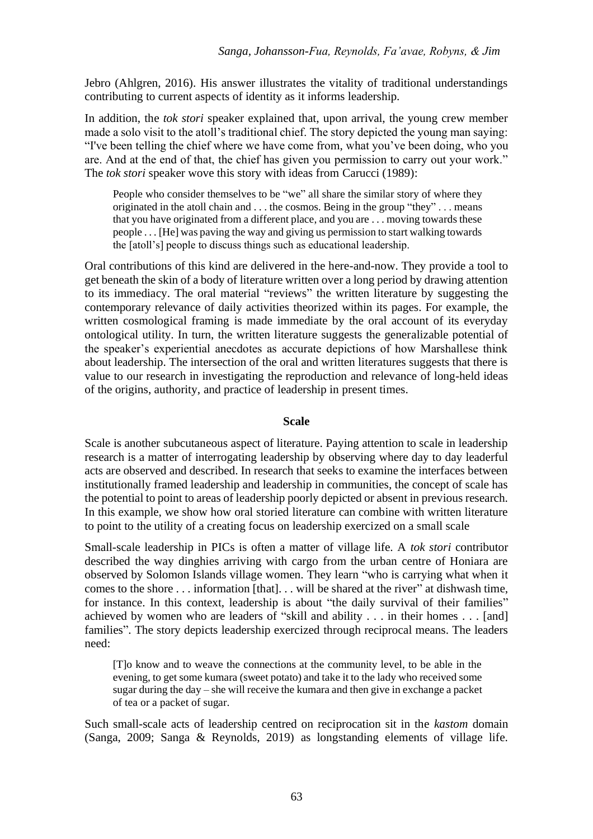Jebro (Ahlgren, 2016). His answer illustrates the vitality of traditional understandings contributing to current aspects of identity as it informs leadership.

In addition, the *tok stori* speaker explained that, upon arrival, the young crew member made a solo visit to the atoll's traditional chief. The story depicted the young man saying: "I've been telling the chief where we have come from, what you've been doing, who you are. And at the end of that, the chief has given you permission to carry out your work." The *tok stori* speaker wove this story with ideas from Carucci (1989):

People who consider themselves to be "we" all share the similar story of where they originated in the atoll chain and . . . the cosmos. Being in the group "they" . . . means that you have originated from a different place, and you are . . . moving towards these people . . . [He] was paving the way and giving us permission to start walking towards the [atoll's] people to discuss things such as educational leadership.

Oral contributions of this kind are delivered in the here-and-now. They provide a tool to get beneath the skin of a body of literature written over a long period by drawing attention to its immediacy. The oral material "reviews" the written literature by suggesting the contemporary relevance of daily activities theorized within its pages. For example, the written cosmological framing is made immediate by the oral account of its everyday ontological utility. In turn, the written literature suggests the generalizable potential of the speaker's experiential anecdotes as accurate depictions of how Marshallese think about leadership. The intersection of the oral and written literatures suggests that there is value to our research in investigating the reproduction and relevance of long-held ideas of the origins, authority, and practice of leadership in present times.

## **Scale**

Scale is another subcutaneous aspect of literature. Paying attention to scale in leadership research is a matter of interrogating leadership by observing where day to day leaderful acts are observed and described. In research that seeks to examine the interfaces between institutionally framed leadership and leadership in communities, the concept of scale has the potential to point to areas of leadership poorly depicted or absent in previous research. In this example, we show how oral storied literature can combine with written literature to point to the utility of a creating focus on leadership exercized on a small scale

Small-scale leadership in PICs is often a matter of village life. A *tok stori* contributor described the way dinghies arriving with cargo from the urban centre of Honiara are observed by Solomon Islands village women. They learn "who is carrying what when it comes to the shore . . . information [that]. . . will be shared at the river" at dishwash time, for instance. In this context, leadership is about "the daily survival of their families" achieved by women who are leaders of "skill and ability . . . in their homes . . . [and] families". The story depicts leadership exercized through reciprocal means. The leaders need:

[T]o know and to weave the connections at the community level, to be able in the evening, to get some kumara (sweet potato) and take it to the lady who received some sugar during the day – she will receive the kumara and then give in exchange a packet of tea or a packet of sugar.

Such small-scale acts of leadership centred on reciprocation sit in the *kastom* domain (Sanga, 2009; Sanga & Reynolds, 2019) as longstanding elements of village life.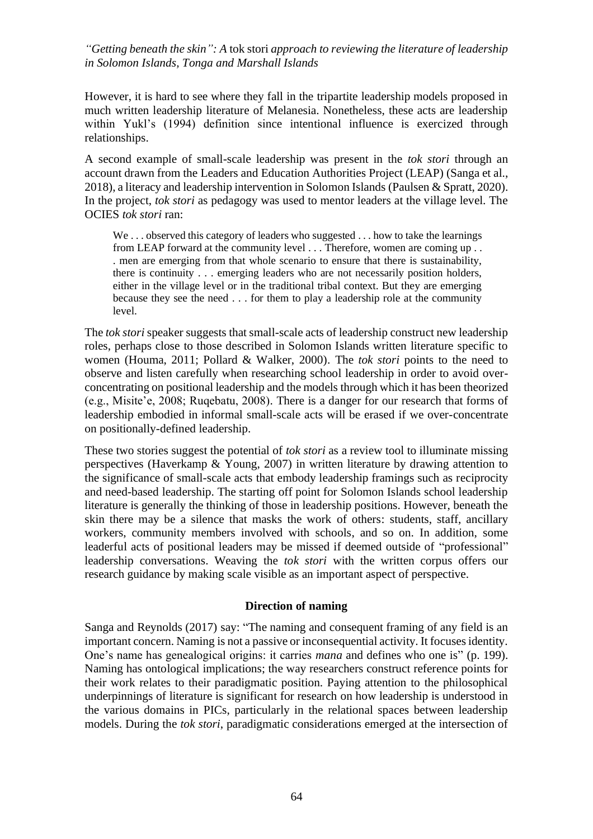However, it is hard to see where they fall in the tripartite leadership models proposed in much written leadership literature of Melanesia. Nonetheless, these acts are leadership within Yukl's (1994) definition since intentional influence is exercized through relationships.

A second example of small-scale leadership was present in the *tok stori* through an account drawn from the Leaders and Education Authorities Project (LEAP) (Sanga et al., 2018), a literacy and leadership intervention in Solomon Islands (Paulsen & Spratt, 2020). In the project, *tok stori* as pedagogy was used to mentor leaders at the village level. The OCIES *tok stori* ran:

We ... observed this category of leaders who suggested ... how to take the learnings from LEAP forward at the community level . . . Therefore, women are coming up . . . men are emerging from that whole scenario to ensure that there is sustainability, there is continuity . . . emerging leaders who are not necessarily position holders, either in the village level or in the traditional tribal context. But they are emerging because they see the need . . . for them to play a leadership role at the community level.

The *tok stori* speaker suggests that small-scale acts of leadership construct new leadership roles, perhaps close to those described in Solomon Islands written literature specific to women (Houma, 2011; Pollard & Walker, 2000). The *tok stori* points to the need to observe and listen carefully when researching school leadership in order to avoid overconcentrating on positional leadership and the models through which it has been theorized (e.g., Misite'e, 2008; Ruqebatu, 2008). There is a danger for our research that forms of leadership embodied in informal small-scale acts will be erased if we over-concentrate on positionally-defined leadership.

These two stories suggest the potential of *tok stori* as a review tool to illuminate missing perspectives (Haverkamp & Young, 2007) in written literature by drawing attention to the significance of small-scale acts that embody leadership framings such as reciprocity and need-based leadership. The starting off point for Solomon Islands school leadership literature is generally the thinking of those in leadership positions. However, beneath the skin there may be a silence that masks the work of others: students, staff, ancillary workers, community members involved with schools, and so on. In addition, some leaderful acts of positional leaders may be missed if deemed outside of "professional" leadership conversations. Weaving the *tok stori* with the written corpus offers our research guidance by making scale visible as an important aspect of perspective.

## **Direction of naming**

Sanga and Reynolds (2017) say: "The naming and consequent framing of any field is an important concern. Naming is not a passive or inconsequential activity. It focuses identity. One's name has genealogical origins: it carries *mana* and defines who one is" (p. 199). Naming has ontological implications; the way researchers construct reference points for their work relates to their paradigmatic position. Paying attention to the philosophical underpinnings of literature is significant for research on how leadership is understood in the various domains in PICs, particularly in the relational spaces between leadership models. During the *tok stori*, paradigmatic considerations emerged at the intersection of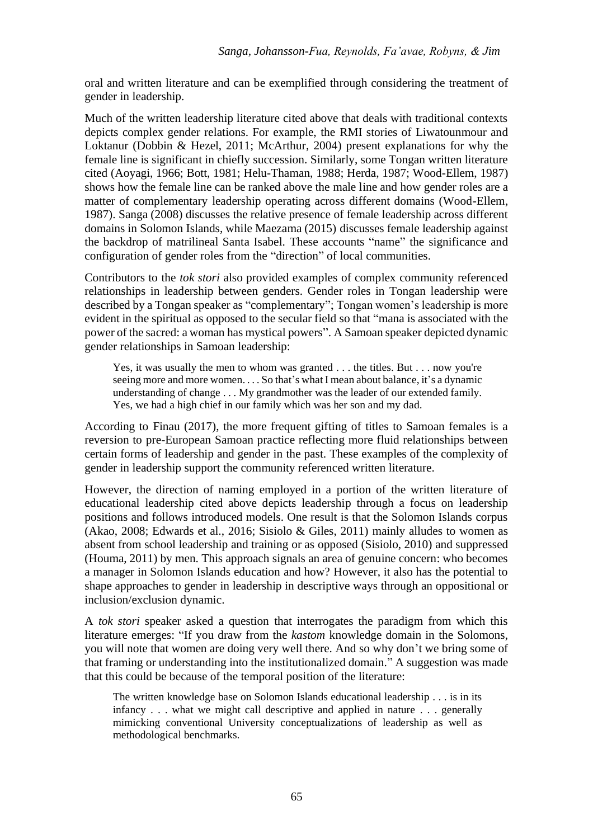oral and written literature and can be exemplified through considering the treatment of gender in leadership.

Much of the written leadership literature cited above that deals with traditional contexts depicts complex gender relations. For example, the RMI stories of Liwatounmour and Loktanur (Dobbin & Hezel, 2011; McArthur, 2004) present explanations for why the female line is significant in chiefly succession. Similarly, some Tongan written literature cited (Aoyagi, 1966; Bott, 1981; Helu-Thaman, 1988; Herda, 1987; Wood-Ellem, 1987) shows how the female line can be ranked above the male line and how gender roles are a matter of complementary leadership operating across different domains (Wood-Ellem, 1987). Sanga (2008) discusses the relative presence of female leadership across different domains in Solomon Islands, while Maezama (2015) discusses female leadership against the backdrop of matrilineal Santa Isabel. These accounts "name" the significance and configuration of gender roles from the "direction" of local communities.

Contributors to the *tok stori* also provided examples of complex community referenced relationships in leadership between genders. Gender roles in Tongan leadership were described by a Tongan speaker as "complementary"; Tongan women's leadership is more evident in the spiritual as opposed to the secular field so that "mana is associated with the power of the sacred: a woman has mystical powers". A Samoan speaker depicted dynamic gender relationships in Samoan leadership:

Yes, it was usually the men to whom was granted . . . the titles. But . . . now you're seeing more and more women. . . . So that's what I mean about balance, it's a dynamic understanding of change . . . My grandmother was the leader of our extended family. Yes, we had a high chief in our family which was her son and my dad.

According to Finau (2017), the more frequent gifting of titles to Samoan females is a reversion to pre-European Samoan practice reflecting more fluid relationships between certain forms of leadership and gender in the past. These examples of the complexity of gender in leadership support the community referenced written literature.

However, the direction of naming employed in a portion of the written literature of educational leadership cited above depicts leadership through a focus on leadership positions and follows introduced models. One result is that the Solomon Islands corpus (Akao, 2008; Edwards et al., 2016; Sisiolo & Giles, 2011) mainly alludes to women as absent from school leadership and training or as opposed (Sisiolo, 2010) and suppressed (Houma, 2011) by men. This approach signals an area of genuine concern: who becomes a manager in Solomon Islands education and how? However, it also has the potential to shape approaches to gender in leadership in descriptive ways through an oppositional or inclusion/exclusion dynamic.

A *tok stori* speaker asked a question that interrogates the paradigm from which this literature emerges: "If you draw from the *kastom* knowledge domain in the Solomons, you will note that women are doing very well there. And so why don't we bring some of that framing or understanding into the institutionalized domain." A suggestion was made that this could be because of the temporal position of the literature:

The written knowledge base on Solomon Islands educational leadership . . . is in its infancy . . . what we might call descriptive and applied in nature . . . generally mimicking conventional University conceptualizations of leadership as well as methodological benchmarks.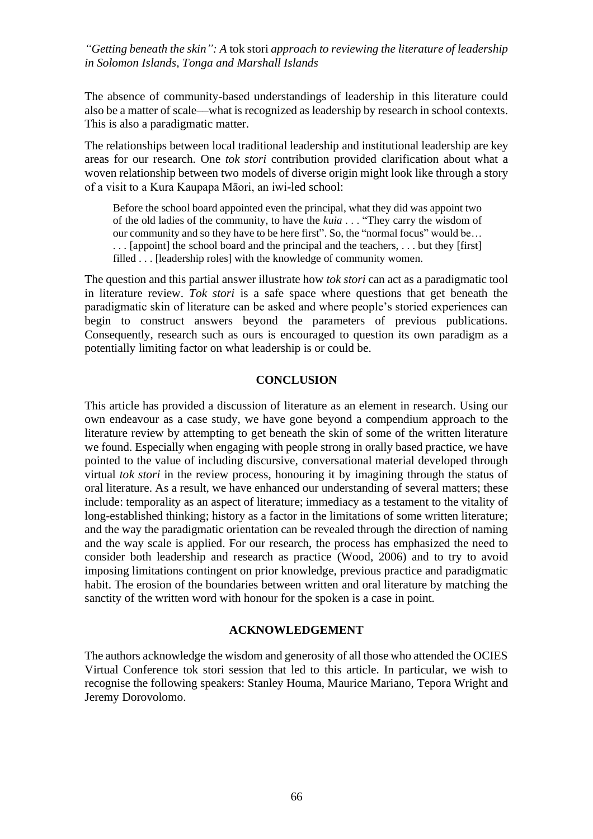The absence of community-based understandings of leadership in this literature could also be a matter of scale––what is recognized as leadership by research in school contexts. This is also a paradigmatic matter.

The relationships between local traditional leadership and institutional leadership are key areas for our research. One *tok stori* contribution provided clarification about what a woven relationship between two models of diverse origin might look like through a story of a visit to a Kura Kaupapa Māori, an iwi-led school:

Before the school board appointed even the principal, what they did was appoint two of the old ladies of the community, to have the *kuia* . . . "They carry the wisdom of our community and so they have to be here first". So, the "normal focus" would be… . . . [appoint] the school board and the principal and the teachers, . . . but they [first] filled . . . [leadership roles] with the knowledge of community women.

The question and this partial answer illustrate how *tok stori* can act as a paradigmatic tool in literature review. *Tok stori* is a safe space where questions that get beneath the paradigmatic skin of literature can be asked and where people's storied experiences can begin to construct answers beyond the parameters of previous publications. Consequently, research such as ours is encouraged to question its own paradigm as a potentially limiting factor on what leadership is or could be.

## **CONCLUSION**

This article has provided a discussion of literature as an element in research. Using our own endeavour as a case study, we have gone beyond a compendium approach to the literature review by attempting to get beneath the skin of some of the written literature we found. Especially when engaging with people strong in orally based practice, we have pointed to the value of including discursive, conversational material developed through virtual *tok stori* in the review process, honouring it by imagining through the status of oral literature. As a result, we have enhanced our understanding of several matters; these include: temporality as an aspect of literature; immediacy as a testament to the vitality of long-established thinking; history as a factor in the limitations of some written literature; and the way the paradigmatic orientation can be revealed through the direction of naming and the way scale is applied. For our research, the process has emphasized the need to consider both leadership and research as practice (Wood, 2006) and to try to avoid imposing limitations contingent on prior knowledge, previous practice and paradigmatic habit. The erosion of the boundaries between written and oral literature by matching the sanctity of the written word with honour for the spoken is a case in point.

#### **ACKNOWLEDGEMENT**

The authors acknowledge the wisdom and generosity of all those who attended the OCIES Virtual Conference tok stori session that led to this article. In particular, we wish to recognise the following speakers: Stanley Houma, Maurice Mariano, Tepora Wright and Jeremy Dorovolomo.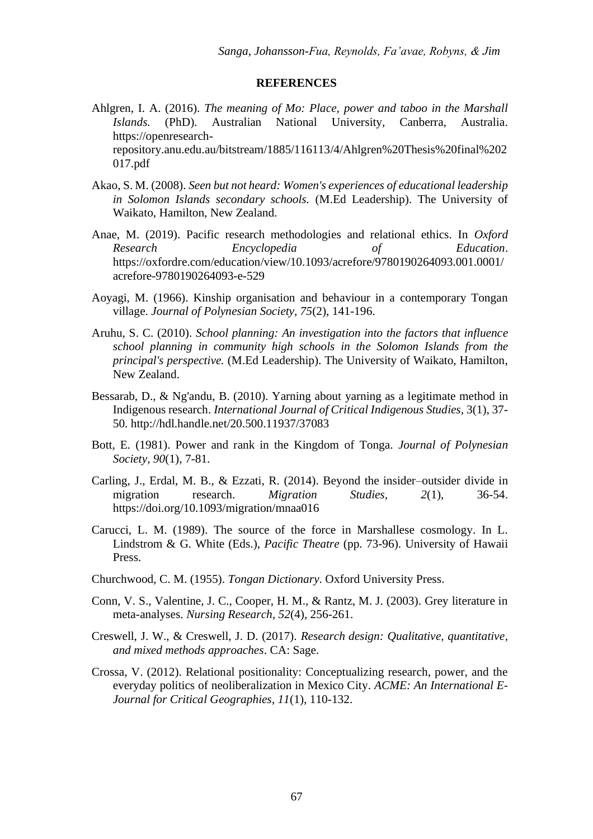#### **REFERENCES**

- Ahlgren, I. A. (2016). *The meaning of Mo: Place, power and taboo in the Marshall Islands.* (PhD). Australian National University, Canberra, Australia. https://openresearchrepository.anu.edu.au/bitstream/1885/116113/4/Ahlgren%20Thesis%20final%202 017.pdf
- Akao, S. M. (2008). *Seen but not heard: Women's experiences of educational leadership in Solomon Islands secondary schools.* (M.Ed Leadership). The University of Waikato, Hamilton, New Zealand.
- Anae, M. (2019). Pacific research methodologies and relational ethics. In *Oxford Research Encyclopedia of Education*. https://oxfordre.com/education/view/10.1093/acrefore/9780190264093.001.0001/ acrefore-9780190264093-e-529
- Aoyagi, M. (1966). Kinship organisation and behaviour in a contemporary Tongan village. *Journal of Polynesian Society, 75*(2), 141-196.
- Aruhu, S. C. (2010). *School planning: An investigation into the factors that influence school planning in community high schools in the Solomon Islands from the principal's perspective.* (M.Ed Leadership). The University of Waikato, Hamilton, New Zealand.
- Bessarab, D., & Ng'andu, B. (2010). Yarning about yarning as a legitimate method in Indigenous research. *International Journal of Critical Indigenous Studies,* 3(1), 37- 50.<http://hdl.handle.net/20.500.11937/37083>
- Bott, E. (1981). Power and rank in the Kingdom of Tonga. *Journal of Polynesian Society, 90*(1), 7-81.
- Carling, J., Erdal, M. B., & Ezzati, R. (2014). Beyond the insider–outsider divide in migration research. *Migration Studies, 2*(1), 36-54. https://doi.org/10.1093/migration/mnaa016
- Carucci, L. M. (1989). The source of the force in Marshallese cosmology. In L. Lindstrom & G. White (Eds.), *Pacific Theatre* (pp. 73-96). University of Hawaii Press.
- Churchwood, C. M. (1955). *Tongan Dictionary*. Oxford University Press.
- Conn, V. S., Valentine, J. C., Cooper, H. M., & Rantz, M. J. (2003). Grey literature in meta-analyses. *Nursing Research*, *52*(4), 256-261.
- Creswell, J. W., & Creswell, J. D. (2017). *Research design: Qualitative, quantitative, and mixed methods approaches*. CA: Sage.
- Crossa, V. (2012). Relational positionality: Conceptualizing research, power, and the everyday politics of neoliberalization in Mexico City. *ACME: An International E-Journal for Critical Geographies, 11*(1), 110-132.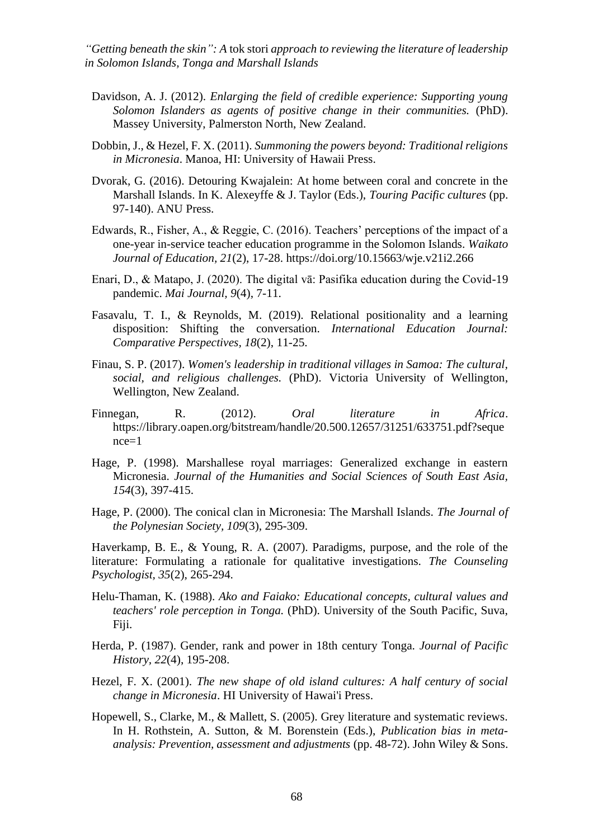- Davidson, A. J. (2012). *Enlarging the field of credible experience: Supporting young Solomon Islanders as agents of positive change in their communities.* (PhD). Massey University, Palmerston North, New Zealand.
- Dobbin, J., & Hezel, F. X. (2011). *Summoning the powers beyond: Traditional religions in Micronesia*. Manoa, HI: University of Hawaii Press.
- Dvorak, G. (2016). Detouring Kwajalein: At home between coral and concrete in the Marshall Islands. In K. Alexeyffe & J. Taylor (Eds.), *Touring Pacific cultures* (pp. 97-140). ANU Press.
- Edwards, R., Fisher, A., & Reggie, C. (2016). Teachers' perceptions of the impact of a one-year in-service teacher education programme in the Solomon Islands. *Waikato Journal of Education, 21*(2), 17-28. https://doi.org/10.15663/wje.v21i2.266
- Enari, D., & Matapo, J. (2020). The digital vā: Pasifika education during the Covid-19 pandemic. *Mai Journal, 9*(4), 7-11.
- Fasavalu, T. I., & Reynolds, M. (2019). Relational positionality and a learning disposition: Shifting the conversation. *International Education Journal: Comparative Perspectives, 18*(2), 11-25.
- Finau, S. P. (2017). *Women's leadership in traditional villages in Samoa: The cultural, social, and religious challenges.* (PhD). Victoria University of Wellington, Wellington, New Zealand.
- Finnegan, R. (2012). *Oral literature in Africa*. [https://library.oapen.org/bitstream/handle/20.500.12657/31251/633751.pdf?seque](https://library.oapen.org/bitstream/handle/20.500.12657/31251/633751.pdf?sequence=1) [nce=1](https://library.oapen.org/bitstream/handle/20.500.12657/31251/633751.pdf?sequence=1)
- Hage, P. (1998). Marshallese royal marriages: Generalized exchange in eastern Micronesia. *Journal of the Humanities and Social Sciences of South East Asia, 154*(3), 397-415.
- Hage, P. (2000). The conical clan in Micronesia: The Marshall Islands. *The Journal of the Polynesian Society, 109*(3), 295-309.

Haverkamp, B. E., & Young, R. A. (2007). Paradigms, purpose, and the role of the literature: Formulating a rationale for qualitative investigations. *The Counseling Psychologist, 35*(2), 265-294.

- Helu-Thaman, K. (1988). *Ako and Faiako: Educational concepts, cultural values and teachers' role perception in Tonga.* (PhD). University of the South Pacific, Suva, Fiji.
- Herda, P. (1987). Gender, rank and power in 18th century Tonga. *Journal of Pacific History, 22*(4), 195-208.
- Hezel, F. X. (2001). *The new shape of old island cultures: A half century of social change in Micronesia*. HI University of Hawai'i Press.
- Hopewell, S., Clarke, M., & Mallett, S. (2005). Grey literature and systematic reviews. In H. Rothstein, A. Sutton, & M. Borenstein (Eds.), *Publication bias in metaanalysis: Prevention, assessment and adjustments* (pp. 48-72). John Wiley & Sons.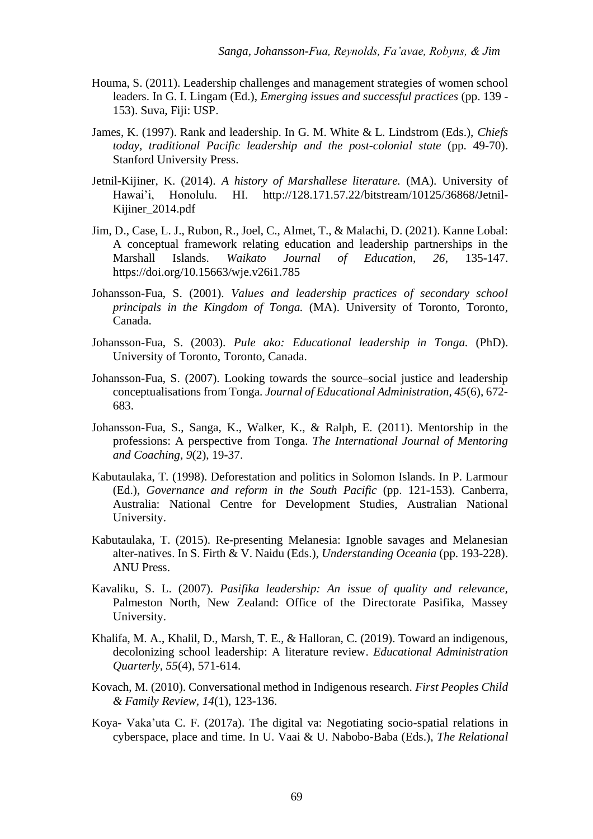- Houma, S. (2011). Leadership challenges and management strategies of women school leaders. In G. I. Lingam (Ed.), *Emerging issues and successful practices* (pp. 139 - 153). Suva, Fiji: USP.
- James, K. (1997). Rank and leadership. In G. M. White & L. Lindstrom (Eds.), *Chiefs today, traditional Pacific leadership and the post-colonial state* (pp. 49-70). Stanford University Press.
- Jetnil-Kijiner, K. (2014). *A history of Marshallese literature.* (MA). University of Hawai'i, Honolulu. HI. http://128.171.57.22/bitstream/10125/36868/Jetnil-Kijiner\_2014.pdf
- Jim, D., Case, L. J., Rubon, R., Joel, C., Almet, T., & Malachi, D. (2021). Kanne Lobal: A conceptual framework relating education and leadership partnerships in the Marshall Islands. *Waikato Journal of Education, 26*, 135-147. https://doi.org/10.15663/wje.v26i1.785
- Johansson-Fua, S. (2001). *Values and leadership practices of secondary school principals in the Kingdom of Tonga.* (MA). University of Toronto, Toronto, Canada.
- Johansson-Fua, S. (2003). *Pule ako: Educational leadership in Tonga.* (PhD). University of Toronto, Toronto, Canada.
- Johansson-Fua, S. (2007). Looking towards the source–social justice and leadership conceptualisations from Tonga. *Journal of Educational Administration, 45*(6), 672- 683.
- Johansson-Fua, S., Sanga, K., Walker, K., & Ralph, E. (2011). Mentorship in the professions: A perspective from Tonga. *The International Journal of Mentoring and Coaching, 9*(2), 19-37.
- Kabutaulaka, T. (1998). Deforestation and politics in Solomon Islands. In P. Larmour (Ed.), *Governance and reform in the South Pacific* (pp. 121-153). Canberra, Australia: National Centre for Development Studies, Australian National University.
- Kabutaulaka, T. (2015). Re-presenting Melanesia: Ignoble savages and Melanesian alter-natives. In S. Firth & V. Naidu (Eds.), *Understanding Oceania* (pp. 193-228). ANU Press.
- Kavaliku, S. L. (2007). *Pasifika leadership: An issue of quality and relevance,* Palmeston North, New Zealand: Office of the Directorate Pasifika, Massey University.
- Khalifa, M. A., Khalil, D., Marsh, T. E., & Halloran, C. (2019). Toward an indigenous, decolonizing school leadership: A literature review. *Educational Administration Quarterly, 55*(4), 571-614.
- Kovach, M. (2010). Conversational method in Indigenous research. *First Peoples Child & Family Review, 14*(1), 123-136.
- Koya- Vaka'uta C. F. (2017a). The digital va: Negotiating socio-spatial relations in cyberspace, place and time. In U. Vaai & U. Nabobo-Baba (Eds.), *The Relational*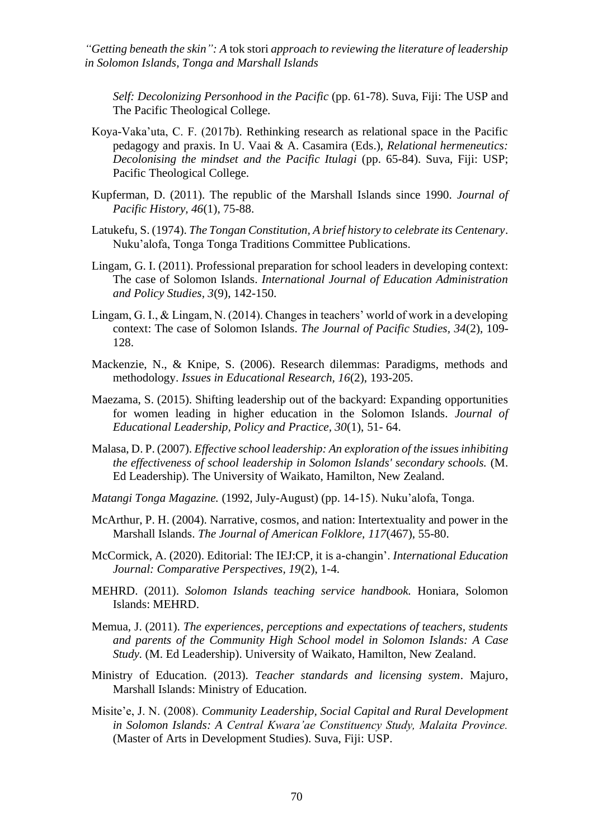*Self: Decolonizing Personhood in the Pacific* (pp. 61-78). Suva, Fiji: The USP and The Pacific Theological College.

- Koya-Vaka'uta, C. F. (2017b). Rethinking research as relational space in the Pacific pedagogy and praxis. In U. Vaai & A. Casamira (Eds.), *Relational hermeneutics: Decolonising the mindset and the Pacific Itulagi* (pp. 65-84). Suva, Fiji: USP; Pacific Theological College.
- Kupferman, D. (2011). The republic of the Marshall Islands since 1990. *Journal of Pacific History, 46*(1), 75-88.
- Latukefu, S. (1974). *The Tongan Constitution, A brief history to celebrate its Centenary*. Nuku'alofa, Tonga Tonga Traditions Committee Publications.
- Lingam, G. I. (2011). Professional preparation for school leaders in developing context: The case of Solomon Islands. *International Journal of Education Administration and Policy Studies, 3*(9), 142-150.
- Lingam, G. I., & Lingam, N. (2014). Changes in teachers' world of work in a developing context: The case of Solomon Islands. *The Journal of Pacific Studies, 34*(2), 109- 128.
- Mackenzie, N., & Knipe, S. (2006). Research dilemmas: Paradigms, methods and methodology. *Issues in Educational Research, 16*(2), 193-205.
- Maezama, S. (2015). Shifting leadership out of the backyard: Expanding opportunities for women leading in higher education in the Solomon Islands. *Journal of Educational Leadership, Policy and Practice, 30*(1), 51- 64.
- Malasa, D. P. (2007). *Effective school leadership: An exploration of the issues inhibiting the effectiveness of school leadership in Solomon Islands' secondary schools.* (M. Ed Leadership). The University of Waikato, Hamilton, New Zealand.
- *Matangi Tonga Magazine.* (1992, July-August) (pp. 14-15). Nuku'alofa, Tonga.
- McArthur, P. H. (2004). Narrative, cosmos, and nation: Intertextuality and power in the Marshall Islands. *The Journal of American Folklore, 117*(467), 55-80.
- McCormick, A. (2020). Editorial: The IEJ:CP, it is a-changin'. *International Education Journal: Comparative Perspectives, 19*(2), 1-4.
- MEHRD. (2011). *Solomon Islands teaching service handbook.* Honiara, Solomon Islands: MEHRD.
- Memua, J. (2011). *The experiences, perceptions and expectations of teachers, students and parents of the Community High School model in Solomon Islands: A Case Study.* (M. Ed Leadership). University of Waikato, Hamilton, New Zealand.
- Ministry of Education. (2013). *Teacher standards and licensing system*. Majuro, Marshall Islands: Ministry of Education.
- Misite'e, J. N. (2008). *Community Leadership, Social Capital and Rural Development in Solomon Islands: A Central Kwara'ae Constituency Study, Malaita Province.* (Master of Arts in Development Studies). Suva, Fiji: USP.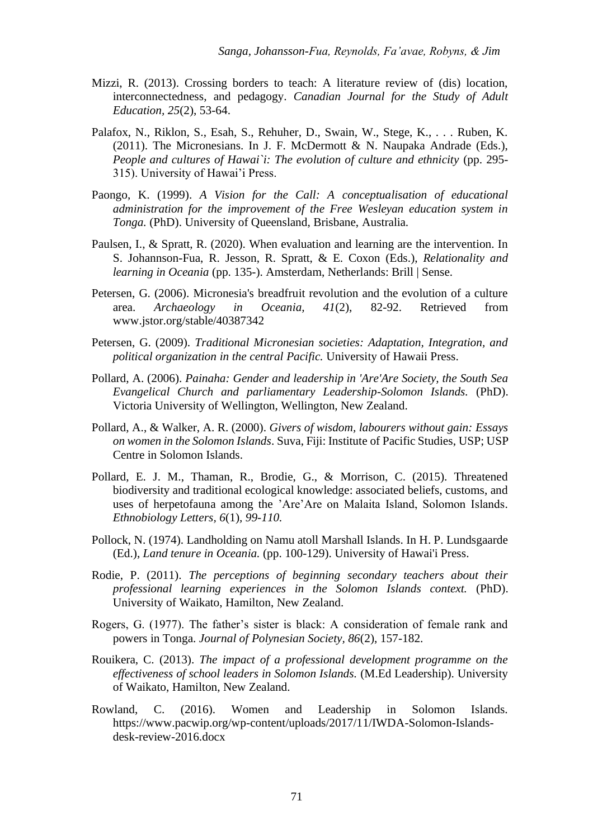- Mizzi, R. (2013). Crossing borders to teach: A literature review of (dis) location, interconnectedness, and pedagogy. *Canadian Journal for the Study of Adult Education, 25*(2), 53-64.
- Palafox, N., Riklon, S., Esah, S., Rehuher, D., Swain, W., Stege, K., . . . Ruben, K. (2011). The Micronesians. In J. F. McDermott & N. Naupaka Andrade (Eds.), *People and cultures of Hawai`i: The evolution of culture and ethnicity* (pp. 295- 315). University of Hawai'i Press.
- Paongo, K. (1999). *A Vision for the Call: A conceptualisation of educational administration for the improvement of the Free Wesleyan education system in Tonga.* (PhD). University of Queensland, Brisbane, Australia.
- Paulsen, I., & Spratt, R. (2020). When evaluation and learning are the intervention. In S. Johannson-Fua, R. Jesson, R. Spratt, & E. Coxon (Eds.), *Relationality and learning in Oceania* (pp. 135-). Amsterdam, Netherlands: Brill | Sense.
- Petersen, G. (2006). Micronesia's breadfruit revolution and the evolution of a culture area. *Archaeology in Oceania, 41*(2), 82-92. Retrieved from www.jstor.org/stable/40387342
- Petersen, G. (2009). *Traditional Micronesian societies: Adaptation, Integration, and political organization in the central Pacific.* University of Hawaii Press.
- Pollard, A. (2006). *Painaha: Gender and leadership in 'Are'Are Society, the South Sea Evangelical Church and parliamentary Leadership-Solomon Islands.* (PhD). Victoria University of Wellington, Wellington, New Zealand.
- Pollard, A., & Walker, A. R. (2000). *Givers of wisdom, labourers without gain: Essays on women in the Solomon Islands*. Suva, Fiji: Institute of Pacific Studies, USP; USP Centre in Solomon Islands.
- Pollard, E. J. M., Thaman, R., Brodie, G., & Morrison, C. (2015). Threatened biodiversity and traditional ecological knowledge: associated beliefs, customs, and uses of herpetofauna among the 'Are'Are on Malaita Island, Solomon Islands*. Ethnobiology Letters, 6*(1)*, 99-110.*
- Pollock, N. (1974). Landholding on Namu atoll Marshall Islands. In H. P. Lundsgaarde (Ed.), *Land tenure in Oceania.* (pp. 100-129). University of Hawai'i Press.
- Rodie, P. (2011). *The perceptions of beginning secondary teachers about their professional learning experiences in the Solomon Islands context.* (PhD). University of Waikato, Hamilton, New Zealand.
- Rogers, G. (1977). The father's sister is black: A consideration of female rank and powers in Tonga. *Journal of Polynesian Society, 86*(2), 157-182.
- Rouikera, C. (2013). *The impact of a professional development programme on the effectiveness of school leaders in Solomon Islands.* (M.Ed Leadership). University of Waikato, Hamilton, New Zealand.
- Rowland, C. (2016). Women and Leadership in Solomon Islands. https://www.pacwip.org/wp-content/uploads/2017/11/IWDA-Solomon-Islandsdesk-review-2016.docx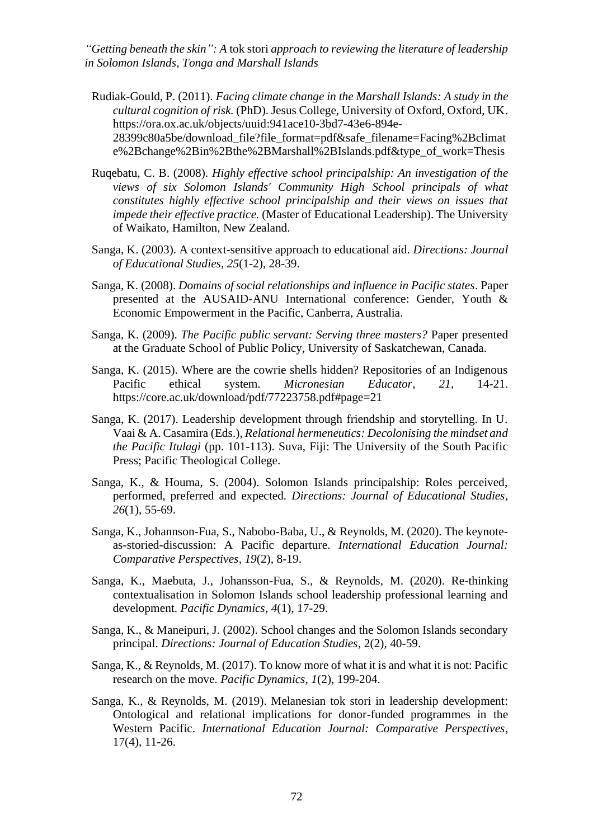- Rudiak-Gould, P. (2011). *Facing climate change in the Marshall Islands: A study in the cultural cognition of risk.* (PhD). Jesus College, University of Oxford, Oxford, UK. https://ora.ox.ac.uk/objects/uuid:941ace10-3bd7-43e6-894e-28399c80a5be/download\_file?file\_format=pdf&safe\_filename=Facing%2Bclimat e%2Bchange%2Bin%2Bthe%2BMarshall%2BIslands.pdf&type\_of\_work=Thesis
- Ruqebatu, C. B. (2008). *Highly effective school principalship: An investigation of the views of six Solomon Islands' Community High School principals of what constitutes highly effective school principalship and their views on issues that impede their effective practice.* (Master of Educational Leadership). The University of Waikato, Hamilton, New Zealand.
- Sanga, K. (2003). A context-sensitive approach to educational aid. *Directions: Journal of Educational Studies, 25*(1-2), 28-39.
- Sanga, K. (2008). *Domains of social relationships and influence in Pacific states*. Paper presented at the AUSAID-ANU International conference: Gender, Youth & Economic Empowerment in the Pacific, Canberra, Australia.
- Sanga, K. (2009). *The Pacific public servant: Serving three masters?* Paper presented at the Graduate School of Public Policy, University of Saskatchewan, Canada.
- Sanga, K. (2015). Where are the cowrie shells hidden? Repositories of an Indigenous Pacific ethical system. *Micronesian Educator*, *21*, 14-21. <https://core.ac.uk/download/pdf/77223758.pdf#page=21>
- Sanga, K. (2017). Leadership development through friendship and storytelling. In U. Vaai & A. Casamira (Eds.), *Relational hermeneutics: Decolonising the mindset and the Pacific Itulagi* (pp. 101-113). Suva, Fiji: The University of the South Pacific Press; Pacific Theological College.
- Sanga, K., & Houma, S. (2004). Solomon Islands principalship: Roles perceived, performed, preferred and expected. *Directions: Journal of Educational Studies*, *26*(1), 55-69.
- Sanga, K., Johannson-Fua, S., Nabobo-Baba, U., & Reynolds, M. (2020). The keynoteas-storied-discussion: A Pacific departure. *International Education Journal: Comparative Perspectives*, *19*(2), 8-19.
- Sanga, K., Maebuta, J., Johansson-Fua, S., & Reynolds, M. (2020). Re-thinking contextualisation in Solomon Islands school leadership professional learning and development. *Pacific Dynamics*, *4*(1), 17-29.
- Sanga, K., & Maneipuri, J. (2002). School changes and the Solomon Islands secondary principal. *Directions: Journal of Education Studies*, 2(2), 40-59.
- Sanga, K., & Reynolds, M. (2017). To know more of what it is and what it is not: Pacific research on the move. *Pacific Dynamics, 1*(2), 199-204.
- Sanga, K., & Reynolds, M. (2019). Melanesian tok stori in leadership development: Ontological and relational implications for donor-funded programmes in the Western Pacific. *International Education Journal: Comparative Perspectives*, 17(4), 11-26.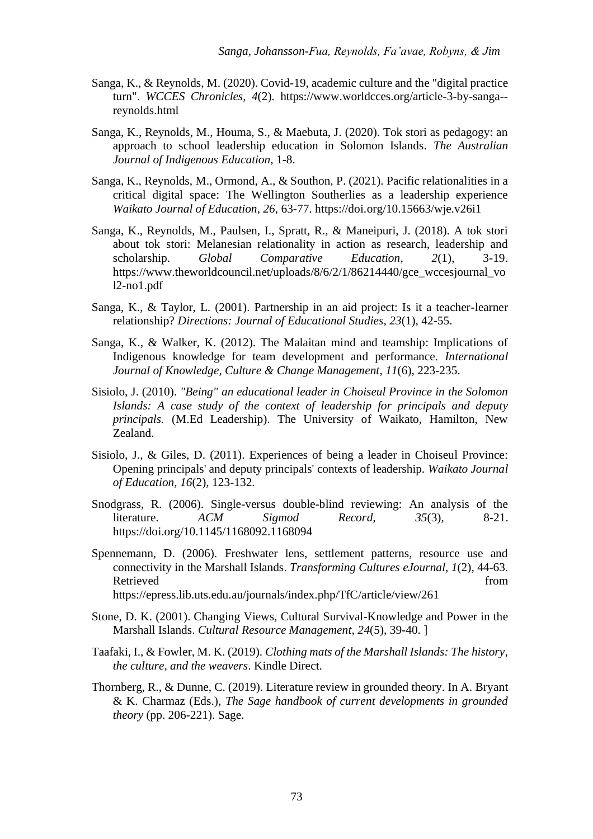- Sanga, K., & Reynolds, M. (2020). Covid-19, academic culture and the "digital practice turn". *WCCES Chronicles*, *4*(2). https://www.worldcces.org/article-3-by-sanga- reynolds.html
- Sanga, K., Reynolds, M., Houma, S., & Maebuta, J. (2020). Tok stori as pedagogy: an approach to school leadership education in Solomon Islands. *The Australian Journal of Indigenous Education*, 1-8.
- Sanga, K., Reynolds, M., Ormond, A., & Southon, P. (2021). Pacific relationalities in a critical digital space: The Wellington Southerlies as a leadership experience *Waikato Journal of Education*, *26*, 63-77. https://doi.org/10.15663/wje.v26i1
- Sanga, K., Reynolds, M., Paulsen, I., Spratt, R., & Maneipuri, J. (2018). A tok stori about tok stori: Melanesian relationality in action as research, leadership and scholarship. *Global Comparative Education*, *2*(1), 3-19. https://www.theworldcouncil.net/uploads/8/6/2/1/86214440/gce\_wccesjournal\_vo l2-no1.pdf
- Sanga, K., & Taylor, L. (2001). Partnership in an aid project: Is it a teacher-learner relationship? *Directions: Journal of Educational Studies*, *23*(1), 42-55.
- Sanga, K., & Walker, K. (2012). The Malaitan mind and teamship: Implications of Indigenous knowledge for team development and performance. *International Journal of Knowledge, Culture & Change Management*, *11*(6), 223-235.
- Sisiolo, J. (2010). *"Being" an educational leader in Choiseul Province in the Solomon Islands: A case study of the context of leadership for principals and deputy principals.* (M.Ed Leadership). The University of Waikato, Hamilton, New Zealand.
- Sisiolo, J., & Giles, D. (2011). Experiences of being a leader in Choiseul Province: Opening principals' and deputy principals' contexts of leadership. *Waikato Journal of Education*, *16*(2), 123-132.
- Snodgrass, R. (2006). Single-versus double-blind reviewing: An analysis of the literature. *ACM Sigmod Record, 35*(3), 8-21. https://doi.org/10.1145/1168092.1168094
- Spennemann, D. (2006). Freshwater lens, settlement patterns, resource use and connectivity in the Marshall Islands. *Transforming Cultures eJournal, 1*(2), 44-63. Retrieved from the state of the state of the state of the state of the state of the state of the state of the state of the state of the state of the state of the state of the state of the state of the state of the state of <https://epress.lib.uts.edu.au/journals/index.php/TfC/article/view/261>
- Stone, D. K. (2001). Changing Views, Cultural Survival-Knowledge and Power in the Marshall Islands. *Cultural Resource Management*, *24*(5), 39-40. ]
- Taafaki, I., & Fowler, M. K. (2019). *Clothing mats of the Marshall Islands: The history, the culture, and the weavers*. Kindle Direct.
- Thornberg, R., & Dunne, C. (2019). Literature review in grounded theory. In A. Bryant & K. Charmaz (Eds.), *The Sage handbook of current developments in grounded theory* (pp. 206-221). Sage.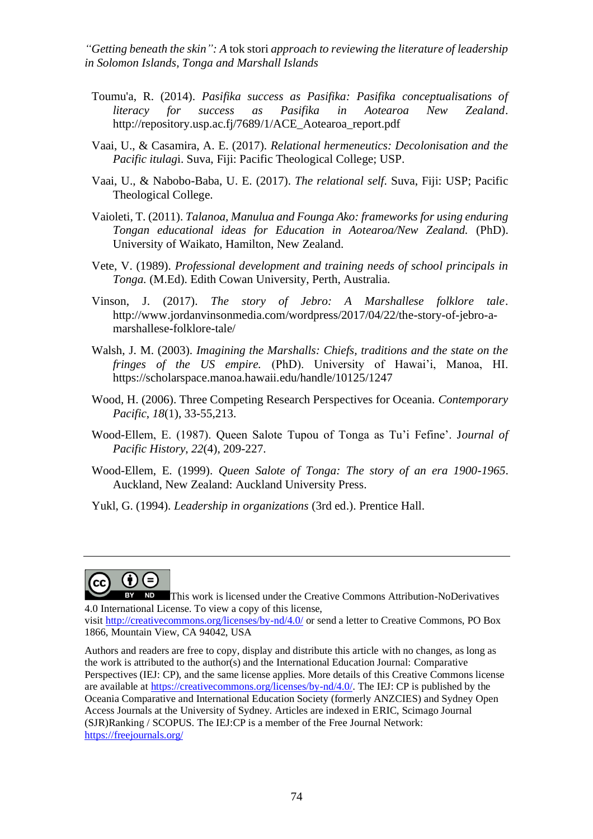- Toumu'a, R. (2014). *Pasifika success as Pasifika: Pasifika conceptualisations of literacy for success as Pasifika in Aotearoa New Zealand*. [http://repository.usp.ac.fj/7689/1/ACE\\_Aotearoa\\_report.pdf](http://repository.usp.ac.fj/7689/1/ACE_Aotearoa_report.pdf)
- Vaai, U., & Casamira, A. E. (2017). *Relational hermeneutics: Decolonisation and the Pacific itulag*i. Suva, Fiji: Pacific Theological College; USP.
- Vaai, U., & Nabobo-Baba, U. E. (2017). *The relational self*. Suva, Fiji: USP; Pacific Theological College.
- Vaioleti, T. (2011). *Talanoa, Manulua and Founga Ako: frameworks for using enduring Tongan educational ideas for Education in Aotearoa/New Zealand.* (PhD). University of Waikato, Hamilton, New Zealand.
- Vete, V. (1989). *Professional development and training needs of school principals in Tonga.* (M.Ed). Edith Cowan University, Perth, Australia.
- Vinson, J. (2017). *The story of Jebro: A Marshallese folklore tale*. [http://www.jordanvinsonmedia.com/wordpress/2017/04/22/the-story-of-jebro-a](http://www.jordanvinsonmedia.com/wordpress/2017/04/22/the-story-of-jebro-a-marshallese-folklore-tale/)[marshallese-folklore-tale/](http://www.jordanvinsonmedia.com/wordpress/2017/04/22/the-story-of-jebro-a-marshallese-folklore-tale/)
- Walsh, J. M. (2003). *Imagining the Marshalls: Chiefs, traditions and the state on the fringes of the US empire.* (PhD). University of Hawai'i, Manoa, HI. <https://scholarspace.manoa.hawaii.edu/handle/10125/1247>
- Wood, H. (2006). Three Competing Research Perspectives for Oceania. *Contemporary Pacific*, *18*(1), 33-55,213.
- Wood-Ellem, E. (1987). Queen Salote Tupou of Tonga as Tu'i Fefine'. J*ournal of Pacific History*, *22*(4), 209-227.
- Wood-Ellem, E. (1999). *Queen Salote of Tonga: The story of an era 1900-1965*. Auckland, New Zealand: Auckland University Press.
- Yukl, G. (1994). *Leadership in organizations* (3rd ed.). Prentice Hall.



This work is licensed under the Creative Commons Attribution-NoDerivatives 4.0 International License. To view a copy of this license,

visit <http://creativecommons.org/licenses/by-nd/4.0/> or send a letter to Creative Commons, PO Box 1866, Mountain View, CA 94042, USA

Authors and readers are free to copy, display and distribute this article with no changes, as long as the work is attributed to the author(s) and the International Education Journal: Comparative Perspectives (IEJ: CP), and the same license applies. More details of this Creative Commons license are available at [https://creativecommons.org/licenses/by-nd/4.0/.](https://creativecommons.org/licenses/by-nd/4.0/) The IEJ: CP is published by the Oceania Comparative and International Education Society (formerly ANZCIES) and Sydney Open Access Journals at the University of Sydney. Articles are indexed in ERIC, Scimago Journal (SJR)Ranking / SCOPUS. The IEJ:CP is a member of the Free Journal Network: <https://freejournals.org/>